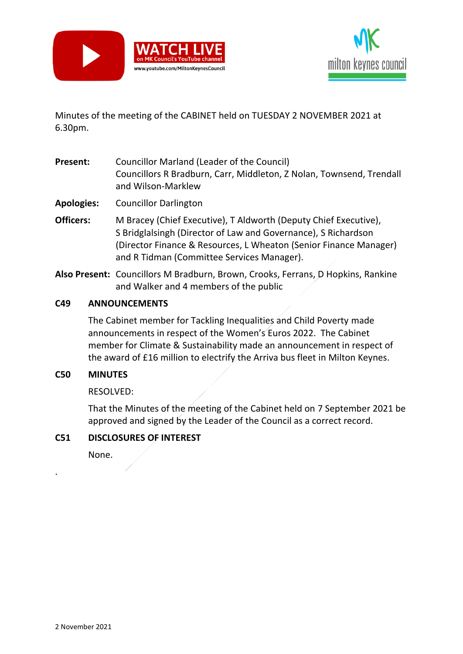



Minutes of the meeting of the CABINET held on TUESDAY 2 NOVEMBER 2021 at 6.30pm.

- **Present:** Councillor Marland (Leader of the Council) Councillors R Bradburn, Carr, Middleton, Z Nolan, Townsend, Trendall and Wilson-Marklew
- **Apologies:** Councillor Darlington
- **Officers:** M Bracey (Chief Executive), T Aldworth (Deputy Chief Executive), S Bridglalsingh (Director of Law and Governance), S Richardson (Director Finance & Resources, L Wheaton (Senior Finance Manager) and R Tidman (Committee Services Manager).
- **Also Present:** Councillors M Bradburn, Brown, Crooks, Ferrans, D Hopkins, Rankine and Walker and 4 members of the public

### **C49 ANNOUNCEMENTS**

The Cabinet member for Tackling Inequalities and Child Poverty made announcements in respect of the Women's Euros 2022. The Cabinet member for Climate & Sustainability made an announcement in respect of the award of £16 million to electrify the Arriva bus fleet in Milton Keynes.

#### **C50 MINUTES**

RESOLVED:

That the Minutes of the meeting of the Cabinet held on 7 September 2021 be approved and signed by the Leader of the Council as a correct record.

#### **C51 DISCLOSURES OF INTEREST**

None.

.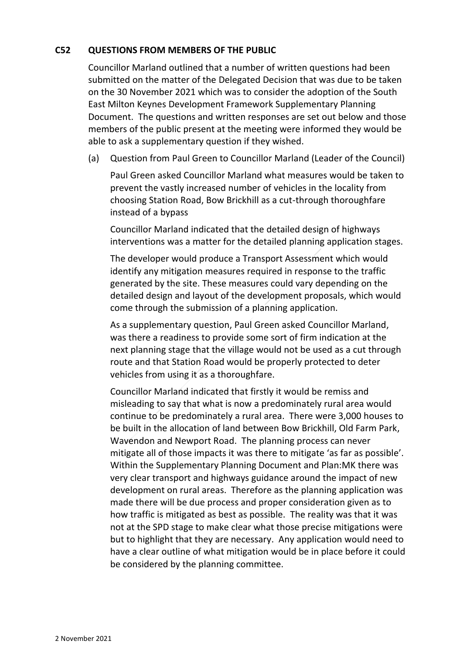### **C52 QUESTIONS FROM MEMBERS OF THE PUBLIC**

Councillor Marland outlined that a number of written questions had been submitted on the matter of the Delegated Decision that was due to be taken on the 30 November 2021 which was to consider the adoption of the South East Milton Keynes Development Framework Supplementary Planning Document. The questions and written responses are set out below and those members of the public present at the meeting were informed they would be able to ask a supplementary question if they wished.

(a) Question from Paul Green to Councillor Marland (Leader of the Council)

Paul Green asked Councillor Marland what measures would be taken to prevent the vastly increased number of vehicles in the locality from choosing Station Road, Bow Brickhill as a cut-through thoroughfare instead of a bypass

Councillor Marland indicated that the detailed design of highways interventions was a matter for the detailed planning application stages.

The developer would produce a Transport Assessment which would identify any mitigation measures required in response to the traffic generated by the site. These measures could vary depending on the detailed design and layout of the development proposals, which would come through the submission of a planning application.

As a supplementary question, Paul Green asked Councillor Marland, was there a readiness to provide some sort of firm indication at the next planning stage that the village would not be used as a cut through route and that Station Road would be properly protected to deter vehicles from using it as a thoroughfare.

Councillor Marland indicated that firstly it would be remiss and misleading to say that what is now a predominately rural area would continue to be predominately a rural area. There were 3,000 houses to be built in the allocation of land between Bow Brickhill, Old Farm Park, Wavendon and Newport Road. The planning process can never mitigate all of those impacts it was there to mitigate 'as far as possible'. Within the Supplementary Planning Document and Plan:MK there was very clear transport and highways guidance around the impact of new development on rural areas. Therefore as the planning application was made there will be due process and proper consideration given as to how traffic is mitigated as best as possible. The reality was that it was not at the SPD stage to make clear what those precise mitigations were but to highlight that they are necessary. Any application would need to have a clear outline of what mitigation would be in place before it could be considered by the planning committee.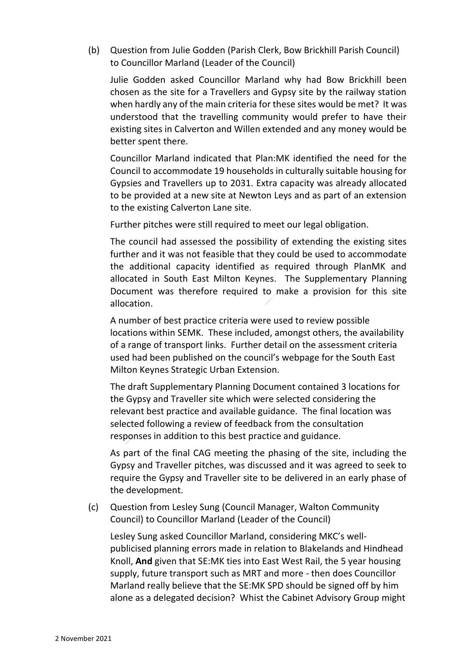(b) Question from Julie Godden (Parish Clerk, Bow Brickhill Parish Council) to Councillor Marland (Leader of the Council)

Julie Godden asked Councillor Marland why had Bow Brickhill been chosen as the site for a Travellers and Gypsy site by the railway station when hardly any of the main criteria for these sites would be met? It was understood that the travelling community would prefer to have their existing sites in Calverton and Willen extended and any money would be better spent there.

Councillor Marland indicated that Plan:MK identified the need for the Council to accommodate 19 households in culturally suitable housing for Gypsies and Travellers up to 2031. Extra capacity was already allocated to be provided at a new site at Newton Leys and as part of an extension to the existing Calverton Lane site.

Further pitches were still required to meet our legal obligation.

The council had assessed the possibility of extending the existing sites further and it was not feasible that they could be used to accommodate the additional capacity identified as required through PlanMK and allocated in South East Milton Keynes. The Supplementary Planning Document was therefore required to make a provision for this site allocation.

A number of best practice criteria were used to review possible locations within SEMK. These included, amongst others, the availability of a range of transport links. Further detail on the assessment criteria used had been published on the council's webpage for the South East Milton Keynes Strategic Urban Extension.

The draft Supplementary Planning Document contained 3 locations for the Gypsy and Traveller site which were selected considering the relevant best practice and available guidance. The final location was selected following a review of feedback from the consultation responses in addition to this best practice and guidance.

As part of the final CAG meeting the phasing of the site, including the Gypsy and Traveller pitches, was discussed and it was agreed to seek to require the Gypsy and Traveller site to be delivered in an early phase of the development.

(c) Question from Lesley Sung (Council Manager, Walton Community Council) to Councillor Marland (Leader of the Council)

Lesley Sung asked Councillor Marland, considering MKC's wellpublicised planning errors made in relation to Blakelands and Hindhead Knoll, **And** given that SE:MK ties into East West Rail, the 5 year housing supply, future transport such as MRT and more - then does Councillor Marland really believe that the SE:MK SPD should be signed off by him alone as a delegated decision? Whist the Cabinet Advisory Group might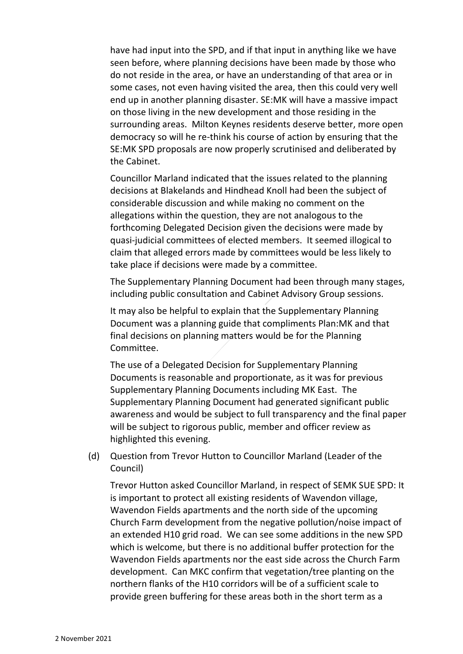have had input into the SPD, and if that input in anything like we have seen before, where planning decisions have been made by those who do not reside in the area, or have an understanding of that area or in some cases, not even having visited the area, then this could very well end up in another planning disaster. SE:MK will have a massive impact on those living in the new development and those residing in the surrounding areas. Milton Keynes residents deserve better, more open democracy so will he re-think his course of action by ensuring that the SE:MK SPD proposals are now properly scrutinised and deliberated by the Cabinet.

Councillor Marland indicated that the issues related to the planning decisions at Blakelands and Hindhead Knoll had been the subject of considerable discussion and while making no comment on the allegations within the question, they are not analogous to the forthcoming Delegated Decision given the decisions were made by quasi-judicial committees of elected members. It seemed illogical to claim that alleged errors made by committees would be less likely to take place if decisions were made by a committee.

The Supplementary Planning Document had been through many stages, including public consultation and Cabinet Advisory Group sessions.

It may also be helpful to explain that the Supplementary Planning Document was a planning guide that compliments Plan:MK and that final decisions on planning matters would be for the Planning Committee.

The use of a Delegated Decision for Supplementary Planning Documents is reasonable and proportionate, as it was for previous Supplementary Planning Documents including MK East. The Supplementary Planning Document had generated significant public awareness and would be subject to full transparency and the final paper will be subject to rigorous public, member and officer review as highlighted this evening.

(d) Question from Trevor Hutton to Councillor Marland (Leader of the Council)

Trevor Hutton asked Councillor Marland, in respect of SEMK SUE SPD: It is important to protect all existing residents of Wavendon village, Wavendon Fields apartments and the north side of the upcoming Church Farm development from the negative pollution/noise impact of an extended H10 grid road. We can see some additions in the new SPD which is welcome, but there is no additional buffer protection for the Wavendon Fields apartments nor the east side across the Church Farm development. Can MKC confirm that vegetation/tree planting on the northern flanks of the H10 corridors will be of a sufficient scale to provide green buffering for these areas both in the short term as a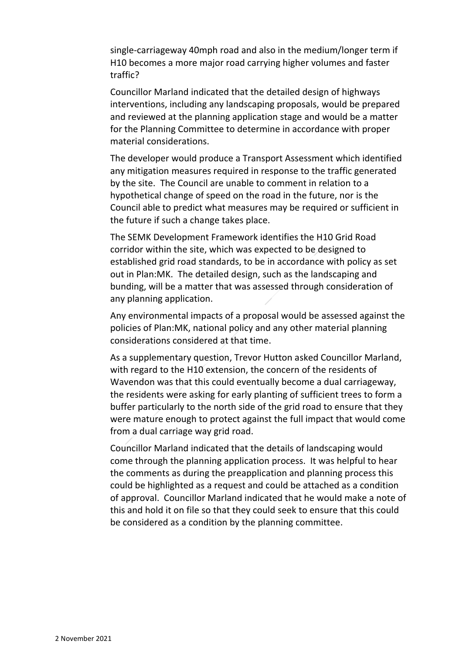single-carriageway 40mph road and also in the medium/longer term if H10 becomes a more major road carrying higher volumes and faster traffic?

Councillor Marland indicated that the detailed design of highways interventions, including any landscaping proposals, would be prepared and reviewed at the planning application stage and would be a matter for the Planning Committee to determine in accordance with proper material considerations.

The developer would produce a Transport Assessment which identified any mitigation measures required in response to the traffic generated by the site. The Council are unable to comment in relation to a hypothetical change of speed on the road in the future, nor is the Council able to predict what measures may be required or sufficient in the future if such a change takes place.

The SEMK Development Framework identifies the H10 Grid Road corridor within the site, which was expected to be designed to established grid road standards, to be in accordance with policy as set out in Plan:MK. The detailed design, such as the landscaping and bunding, will be a matter that was assessed through consideration of any planning application.

Any environmental impacts of a proposal would be assessed against the policies of Plan:MK, national policy and any other material planning considerations considered at that time.

As a supplementary question, Trevor Hutton asked Councillor Marland, with regard to the H10 extension, the concern of the residents of Wavendon was that this could eventually become a dual carriageway, the residents were asking for early planting of sufficient trees to form a buffer particularly to the north side of the grid road to ensure that they were mature enough to protect against the full impact that would come from a dual carriage way grid road.

Councillor Marland indicated that the details of landscaping would come through the planning application process. It was helpful to hear the comments as during the preapplication and planning process this could be highlighted as a request and could be attached as a condition of approval. Councillor Marland indicated that he would make a note of this and hold it on file so that they could seek to ensure that this could be considered as a condition by the planning committee.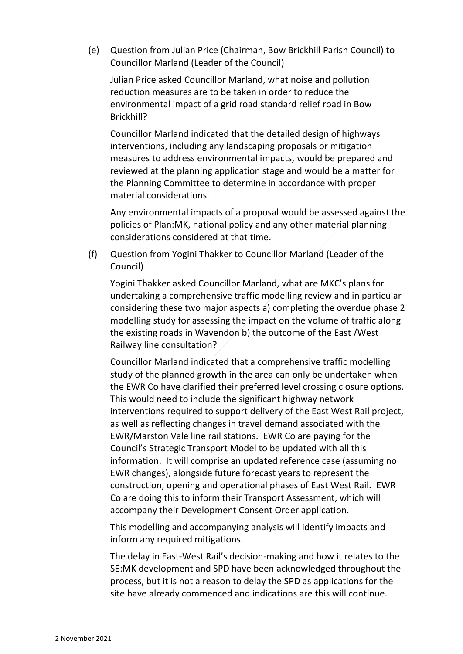(e) Question from Julian Price (Chairman, Bow Brickhill Parish Council) to Councillor Marland (Leader of the Council)

Julian Price asked Councillor Marland, what noise and pollution reduction measures are to be taken in order to reduce the environmental impact of a grid road standard relief road in Bow Brickhill?

Councillor Marland indicated that the detailed design of highways interventions, including any landscaping proposals or mitigation measures to address environmental impacts, would be prepared and reviewed at the planning application stage and would be a matter for the Planning Committee to determine in accordance with proper material considerations.

Any environmental impacts of a proposal would be assessed against the policies of Plan:MK, national policy and any other material planning considerations considered at that time.

(f) Question from Yogini Thakker to Councillor Marland (Leader of the Council)

Yogini Thakker asked Councillor Marland, what are MKC's plans for undertaking a comprehensive traffic modelling review and in particular considering these two major aspects a) completing the overdue phase 2 modelling study for assessing the impact on the volume of traffic along the existing roads in Wavendon b) the outcome of the East /West Railway line consultation?

Councillor Marland indicated that a comprehensive traffic modelling study of the planned growth in the area can only be undertaken when the EWR Co have clarified their preferred level crossing closure options. This would need to include the significant highway network interventions required to support delivery of the East West Rail project, as well as reflecting changes in travel demand associated with the EWR/Marston Vale line rail stations. EWR Co are paying for the Council's Strategic Transport Model to be updated with all this information. It will comprise an updated reference case (assuming no EWR changes), alongside future forecast years to represent the construction, opening and operational phases of East West Rail. EWR Co are doing this to inform their Transport Assessment, which will accompany their Development Consent Order application.

This modelling and accompanying analysis will identify impacts and inform any required mitigations.

The delay in East-West Rail's decision-making and how it relates to the SE:MK development and SPD have been acknowledged throughout the process, but it is not a reason to delay the SPD as applications for the site have already commenced and indications are this will continue.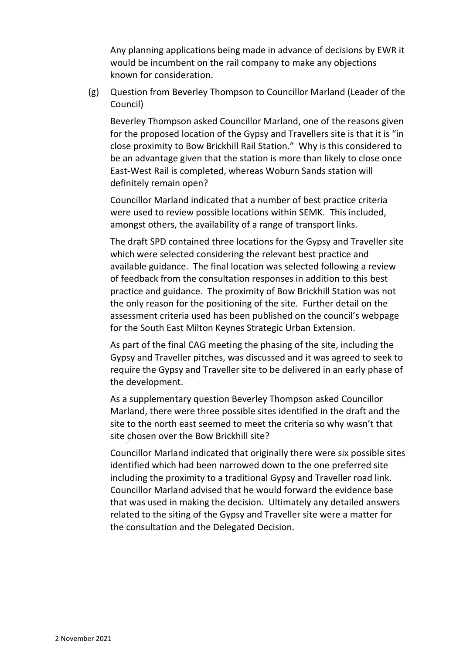Any planning applications being made in advance of decisions by EWR it would be incumbent on the rail company to make any objections known for consideration.

(g) Question from Beverley Thompson to Councillor Marland (Leader of the Council)

Beverley Thompson asked Councillor Marland, one of the reasons given for the proposed location of the Gypsy and Travellers site is that it is "in close proximity to Bow Brickhill Rail Station." Why is this considered to be an advantage given that the station is more than likely to close once East-West Rail is completed, whereas Woburn Sands station will definitely remain open?

Councillor Marland indicated that a number of best practice criteria were used to review possible locations within SEMK. This included, amongst others, the availability of a range of transport links.

The draft SPD contained three locations for the Gypsy and Traveller site which were selected considering the relevant best practice and available guidance. The final location was selected following a review of feedback from the consultation responses in addition to this best practice and guidance. The proximity of Bow Brickhill Station was not the only reason for the positioning of the site. Further detail on the assessment criteria used has been published on the council's webpage for the South East Milton Keynes Strategic Urban Extension.

As part of the final CAG meeting the phasing of the site, including the Gypsy and Traveller pitches, was discussed and it was agreed to seek to require the Gypsy and Traveller site to be delivered in an early phase of the development.

As a supplementary question Beverley Thompson asked Councillor Marland, there were three possible sites identified in the draft and the site to the north east seemed to meet the criteria so why wasn't that site chosen over the Bow Brickhill site?

Councillor Marland indicated that originally there were six possible sites identified which had been narrowed down to the one preferred site including the proximity to a traditional Gypsy and Traveller road link. Councillor Marland advised that he would forward the evidence base that was used in making the decision. Ultimately any detailed answers related to the siting of the Gypsy and Traveller site were a matter for the consultation and the Delegated Decision.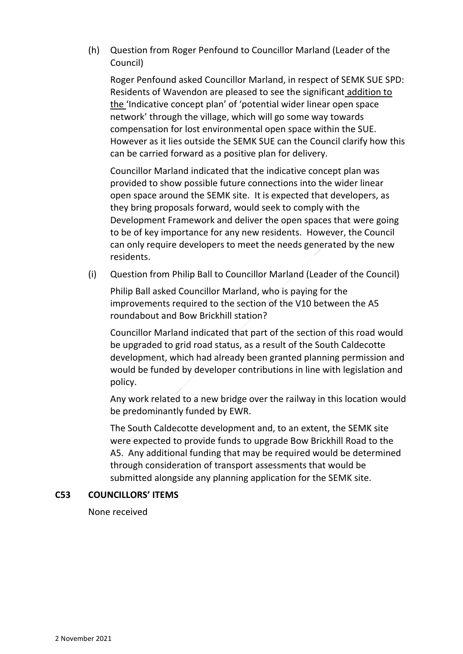(h) Question from Roger Penfound to Councillor Marland (Leader of the Council)

Roger Penfound asked Councillor Marland, in respect of SEMK SUE SPD: Residents of Wavendon are pleased to see the significant addition to the 'Indicative concept plan' of 'potential wider linear open space network' through the village, which will go some way towards compensation for lost environmental open space within the SUE. However as it lies outside the SEMK SUE can the Council clarify how this can be carried forward as a positive plan for delivery.

Councillor Marland indicated that the indicative concept plan was provided to show possible future connections into the wider linear open space around the SEMK site. It is expected that developers, as they bring proposals forward, would seek to comply with the Development Framework and deliver the open spaces that were going to be of key importance for any new residents. However, the Council can only require developers to meet the needs generated by the new residents.

(i) Question from Philip Ball to Councillor Marland (Leader of the Council)

Philip Ball asked Councillor Marland, who is paying for the improvements required to the section of the V10 between the A5 roundabout and Bow Brickhill station?

Councillor Marland indicated that part of the section of this road would be upgraded to grid road status, as a result of the South Caldecotte development, which had already been granted planning permission and would be funded by developer contributions in line with legislation and policy.

Any work related to a new bridge over the railway in this location would be predominantly funded by EWR.

The South Caldecotte development and, to an extent, the SEMK site were expected to provide funds to upgrade Bow Brickhill Road to the A5. Any additional funding that may be required would be determined through consideration of transport assessments that would be submitted alongside any planning application for the SEMK site.

## **C53 COUNCILLORS' ITEMS**

None received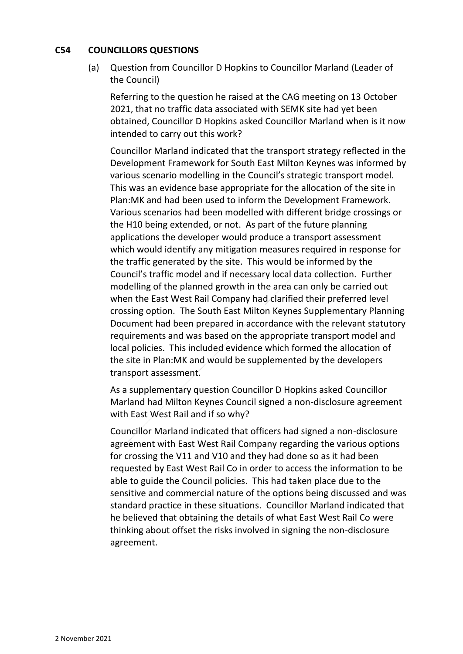#### **C54 COUNCILLORS QUESTIONS**

(a) Question from Councillor D Hopkins to Councillor Marland (Leader of the Council)

Referring to the question he raised at the CAG meeting on 13 October 2021, that no traffic data associated with SEMK site had yet been obtained, Councillor D Hopkins asked Councillor Marland when is it now intended to carry out this work?

Councillor Marland indicated that the transport strategy reflected in the Development Framework for South East Milton Keynes was informed by various scenario modelling in the Council's strategic transport model. This was an evidence base appropriate for the allocation of the site in Plan:MK and had been used to inform the Development Framework. Various scenarios had been modelled with different bridge crossings or the H10 being extended, or not. As part of the future planning applications the developer would produce a transport assessment which would identify any mitigation measures required in response for the traffic generated by the site. This would be informed by the Council's traffic model and if necessary local data collection. Further modelling of the planned growth in the area can only be carried out when the East West Rail Company had clarified their preferred level crossing option. The South East Milton Keynes Supplementary Planning Document had been prepared in accordance with the relevant statutory requirements and was based on the appropriate transport model and local policies. This included evidence which formed the allocation of the site in Plan:MK and would be supplemented by the developers transport assessment.

As a supplementary question Councillor D Hopkins asked Councillor Marland had Milton Keynes Council signed a non-disclosure agreement with East West Rail and if so why?

Councillor Marland indicated that officers had signed a non-disclosure agreement with East West Rail Company regarding the various options for crossing the V11 and V10 and they had done so as it had been requested by East West Rail Co in order to access the information to be able to guide the Council policies. This had taken place due to the sensitive and commercial nature of the options being discussed and was standard practice in these situations. Councillor Marland indicated that he believed that obtaining the details of what East West Rail Co were thinking about offset the risks involved in signing the non-disclosure agreement.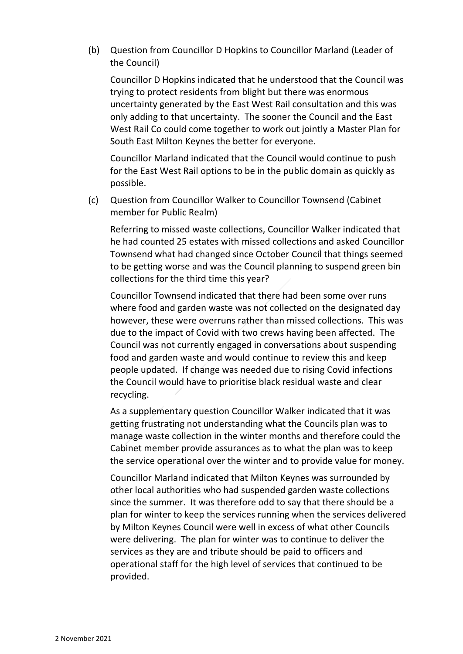(b) Question from Councillor D Hopkins to Councillor Marland (Leader of the Council)

Councillor D Hopkins indicated that he understood that the Council was trying to protect residents from blight but there was enormous uncertainty generated by the East West Rail consultation and this was only adding to that uncertainty. The sooner the Council and the East West Rail Co could come together to work out jointly a Master Plan for South East Milton Keynes the better for everyone.

Councillor Marland indicated that the Council would continue to push for the East West Rail options to be in the public domain as quickly as possible.

(c) Question from Councillor Walker to Councillor Townsend (Cabinet member for Public Realm)

Referring to missed waste collections, Councillor Walker indicated that he had counted 25 estates with missed collections and asked Councillor Townsend what had changed since October Council that things seemed to be getting worse and was the Council planning to suspend green bin collections for the third time this year?

Councillor Townsend indicated that there had been some over runs where food and garden waste was not collected on the designated day however, these were overruns rather than missed collections. This was due to the impact of Covid with two crews having been affected. The Council was not currently engaged in conversations about suspending food and garden waste and would continue to review this and keep people updated. If change was needed due to rising Covid infections the Council would have to prioritise black residual waste and clear recycling.

As a supplementary question Councillor Walker indicated that it was getting frustrating not understanding what the Councils plan was to manage waste collection in the winter months and therefore could the Cabinet member provide assurances as to what the plan was to keep the service operational over the winter and to provide value for money.

Councillor Marland indicated that Milton Keynes was surrounded by other local authorities who had suspended garden waste collections since the summer. It was therefore odd to say that there should be a plan for winter to keep the services running when the services delivered by Milton Keynes Council were well in excess of what other Councils were delivering. The plan for winter was to continue to deliver the services as they are and tribute should be paid to officers and operational staff for the high level of services that continued to be provided.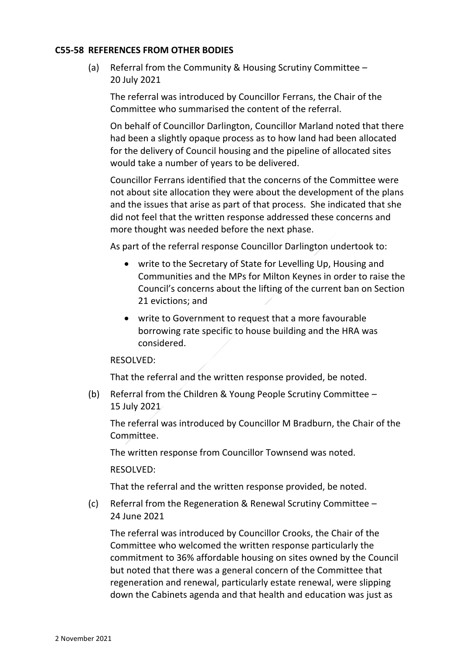#### **C55-58 REFERENCES FROM OTHER BODIES**

(a) Referral from the Community & Housing Scrutiny Committee – 20 July 2021

The referral was introduced by Councillor Ferrans, the Chair of the Committee who summarised the content of the referral.

On behalf of Councillor Darlington, Councillor Marland noted that there had been a slightly opaque process as to how land had been allocated for the delivery of Council housing and the pipeline of allocated sites would take a number of years to be delivered.

Councillor Ferrans identified that the concerns of the Committee were not about site allocation they were about the development of the plans and the issues that arise as part of that process. She indicated that she did not feel that the written response addressed these concerns and more thought was needed before the next phase.

As part of the referral response Councillor Darlington undertook to:

- write to the Secretary of State for Levelling Up, Housing and Communities and the MPs for Milton Keynes in order to raise the Council's concerns about the lifting of the current ban on Section 21 evictions; and
- write to Government to request that a more favourable borrowing rate specific to house building and the HRA was considered.

#### RESOLVED:

That the referral and the written response provided, be noted.

(b) Referral from the Children & Young People Scrutiny Committee – 15 July 2021

The referral was introduced by Councillor M Bradburn, the Chair of the Committee.

The written response from Councillor Townsend was noted.

RESOLVED:

That the referral and the written response provided, be noted.

(c) Referral from the Regeneration & Renewal Scrutiny Committee – 24 June 2021

The referral was introduced by Councillor Crooks, the Chair of the Committee who welcomed the written response particularly the commitment to 36% affordable housing on sites owned by the Council but noted that there was a general concern of the Committee that regeneration and renewal, particularly estate renewal, were slipping down the Cabinets agenda and that health and education was just as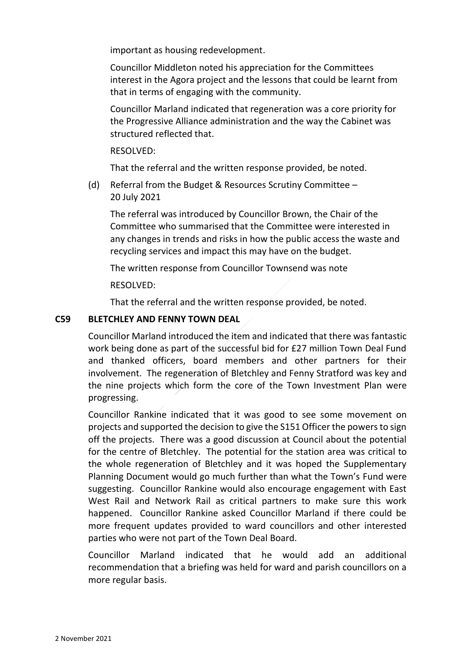important as housing redevelopment.

Councillor Middleton noted his appreciation for the Committees interest in the Agora project and the lessons that could be learnt from that in terms of engaging with the community.

Councillor Marland indicated that regeneration was a core priority for the Progressive Alliance administration and the way the Cabinet was structured reflected that.

RESOLVED:

That the referral and the written response provided, be noted.

(d) Referral from the Budget & Resources Scrutiny Committee – 20 July 2021

The referral was introduced by Councillor Brown, the Chair of the Committee who summarised that the Committee were interested in any changes in trends and risks in how the public access the waste and recycling services and impact this may have on the budget.

The written response from Councillor Townsend was note

RESOLVED:

That the referral and the written response provided, be noted.

#### **C59 BLETCHLEY AND FENNY TOWN DEAL**

Councillor Marland introduced the item and indicated that there was fantastic work being done as part of the successful bid for £27 million Town Deal Fund and thanked officers, board members and other partners for their involvement. The regeneration of Bletchley and Fenny Stratford was key and the nine projects which form the core of the Town Investment Plan were progressing.

Councillor Rankine indicated that it was good to see some movement on projects and supported the decision to give the S151 Officer the powers to sign off the projects. There was a good discussion at Council about the potential for the centre of Bletchley. The potential for the station area was critical to the whole regeneration of Bletchley and it was hoped the Supplementary Planning Document would go much further than what the Town's Fund were suggesting. Councillor Rankine would also encourage engagement with East West Rail and Network Rail as critical partners to make sure this work happened. Councillor Rankine asked Councillor Marland if there could be more frequent updates provided to ward councillors and other interested parties who were not part of the Town Deal Board.

Councillor Marland indicated that he would add an additional recommendation that a briefing was held for ward and parish councillors on a more regular basis.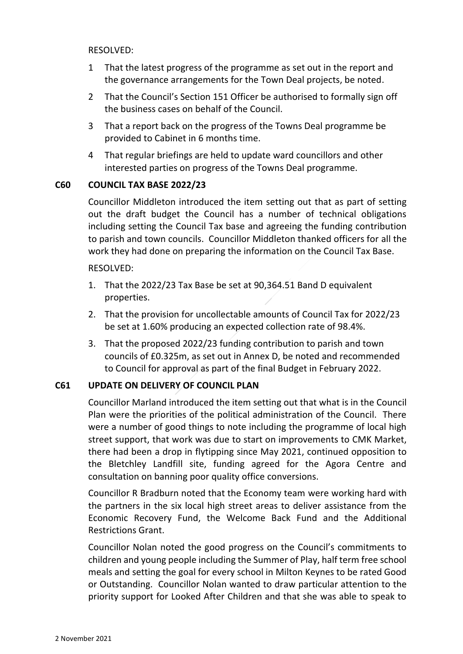RESOLVED:

- 1 That the latest progress of the programme as set out in the report and the governance arrangements for the Town Deal projects, be noted.
- 2 That the Council's Section 151 Officer be authorised to formally sign off the business cases on behalf of the Council.
- 3 That a report back on the progress of the Towns Deal programme be provided to Cabinet in 6 months time.
- 4 That regular briefings are held to update ward councillors and other interested parties on progress of the Towns Deal programme.

## **C60 COUNCIL TAX BASE 2022/23**

Councillor Middleton introduced the item setting out that as part of setting out the draft budget the Council has a number of technical obligations including setting the Council Tax base and agreeing the funding contribution to parish and town councils. Councillor Middleton thanked officers for all the work they had done on preparing the information on the Council Tax Base.

#### RESOLVED:

- 1. That the 2022/23 Tax Base be set at 90,364.51 Band D equivalent properties.
- 2. That the provision for uncollectable amounts of Council Tax for 2022/23 be set at 1.60% producing an expected collection rate of 98.4%.
- 3. That the proposed 2022/23 funding contribution to parish and town councils of £0.325m, as set out in Annex D, be noted and recommended to Council for approval as part of the final Budget in February 2022.

## **C61 UPDATE ON DELIVERY OF COUNCIL PLAN**

Councillor Marland introduced the item setting out that what is in the Council Plan were the priorities of the political administration of the Council. There were a number of good things to note including the programme of local high street support, that work was due to start on improvements to CMK Market, there had been a drop in flytipping since May 2021, continued opposition to the Bletchley Landfill site, funding agreed for the Agora Centre and consultation on banning poor quality office conversions.

Councillor R Bradburn noted that the Economy team were working hard with the partners in the six local high street areas to deliver assistance from the Economic Recovery Fund, the Welcome Back Fund and the Additional Restrictions Grant.

Councillor Nolan noted the good progress on the Council's commitments to children and young people including the Summer of Play, half term free school meals and setting the goal for every school in Milton Keynes to be rated Good or Outstanding. Councillor Nolan wanted to draw particular attention to the priority support for Looked After Children and that she was able to speak to